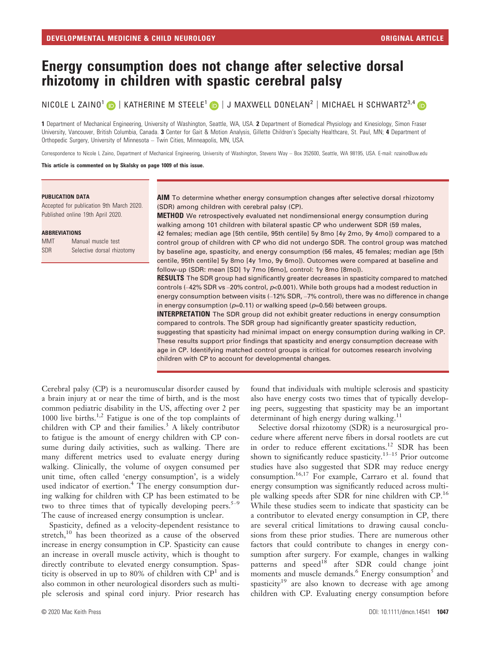# Energy consumption does not change after selective dorsal rhizotomy in children with spastic cerebral palsy

NICOLE L ZAINO<sup>1</sup> D | KATHERINE M STEELE<sup>1</sup> D | J MAXWELL DONELAN<sup>2</sup> | MICHAEL H SCHWARTZ<sup>3,4</sup> D

1 Department of Mechanical Engineering, University of Washington, Seattle, WA, USA. 2 Department of Biomedical Physiology and Kinesiology, Simon Fraser University, Vancouver, British Columbia, Canada. 3 Center for Gait & Motion Analysis, Gillette Children's Specialty Healthcare, St. Paul, MN; 4 Department of Orthopedic Surgery, University of Minnesota – Twin Cities, Minneapolis, MN, USA.

Correspondence to Nicole L Zaino, Department of Mechanical Engineering, University of Washington, Stevens Way – Box 352600, Seattle, WA 98195, USA, E-mail: [nzaino@uw.edu](mailto:)

This article is commented on by Skalsky on page 1009 of this issue.

#### PUBLICATION DATA

Accepted for publication 9th March 2020. Published online 19th April 2020.

#### ABBREVIATIONS

| <b>MMT</b> | Manual muscle test         |
|------------|----------------------------|
| <b>SDR</b> | Selective dorsal rhizotomy |

AIM To determine whether energy consumption changes after selective dorsal rhizotomy (SDR) among children with cerebral palsy (CP).

**METHOD** We retrospectively evaluated net nondimensional energy consumption during walking among 101 children with bilateral spastic CP who underwent SDR (59 males, 42 females; median age [5th centile, 95th centile] 5y 8mo [4y 2mo, 9y 4mo]) compared to a control group of children with CP who did not undergo SDR. The control group was matched by baseline age, spasticity, and energy consumption (56 males, 45 females; median age [5th centile, 95th centile] 5y 8mo [4y 1mo, 9y 6mo]). Outcomes were compared at baseline and follow-up (SDR: mean [SD] 1y 7mo [6mo], control: 1y 8mo [8mo]).

**RESULTS** The SDR group had significantly greater decreases in spasticity compared to matched controls (-42% SDR vs -20% control,  $p<0.001$ ). While both groups had a modest reduction in energy consumption between visits (–12% SDR, –7% control), there was no difference in change in energy consumption ( $p=0.11$ ) or walking speed ( $p=0.56$ ) between groups.

**INTERPRETATION** The SDR group did not exhibit greater reductions in energy consumption compared to controls. The SDR group had significantly greater spasticity reduction, suggesting that spasticity had minimal impact on energy consumption during walking in CP. These results support prior findings that spasticity and energy consumption decrease with age in CP. Identifying matched control groups is critical for outcomes research involving children with CP to account for developmental changes.

Cerebral palsy (CP) is a neuromuscular disorder caused by a brain injury at or near the time of birth, and is the most common pediatric disability in the US, affecting over 2 per 1000 live births.<sup>1,2</sup> Fatigue is one of the top complaints of children with  $CP$  and their families.<sup>3</sup> A likely contributor to fatigue is the amount of energy children with CP consume during daily activities, such as walking. There are many different metrics used to evaluate energy during walking. Clinically, the volume of oxygen consumed per unit time, often called 'energy consumption', is a widely used indicator of exertion.<sup>4</sup> The energy consumption during walking for children with CP has been estimated to be two to three times that of typically developing peers. $5-9$ The cause of increased energy consumption is unclear.

Spasticity, defined as a velocity-dependent resistance to stretch,<sup>10</sup> has been theorized as a cause of the observed increase in energy consumption in CP. Spasticity can cause an increase in overall muscle activity, which is thought to directly contribute to elevated energy consumption. Spasticity is observed in up to 80% of children with  $\mathbb{CP}^1$  and is also common in other neurological disorders such as multiple sclerosis and spinal cord injury. Prior research has found that individuals with multiple sclerosis and spasticity also have energy costs two times that of typically developing peers, suggesting that spasticity may be an important determinant of high energy during walking.<sup>11</sup>

Selective dorsal rhizotomy (SDR) is a neurosurgical procedure where afferent nerve fibers in dorsal rootlets are cut in order to reduce efferent excitations.<sup>12</sup> SDR has been shown to significantly reduce spasticity.<sup>13-15</sup> Prior outcome studies have also suggested that SDR may reduce energy consumption.<sup>16,17</sup> For example, Carraro et al. found that energy consumption was significantly reduced across multiple walking speeds after SDR for nine children with CP.<sup>16</sup> While these studies seem to indicate that spasticity can be a contributor to elevated energy consumption in CP, there are several critical limitations to drawing causal conclusions from these prior studies. There are numerous other factors that could contribute to changes in energy consumption after surgery. For example, changes in walking patterns and speed<sup>18</sup> after SDR could change joint moments and muscle demands. $6$  Energy consumption $5$  and spasticity<sup>19</sup> are also known to decrease with age among children with CP. Evaluating energy consumption before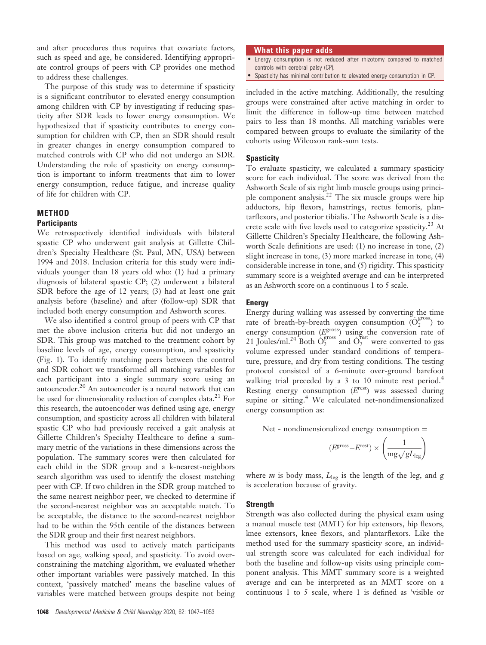and after procedures thus requires that covariate factors, such as speed and age, be considered. Identifying appropriate control groups of peers with CP provides one method to address these challenges.

The purpose of this study was to determine if spasticity is a significant contributor to elevated energy consumption among children with CP by investigating if reducing spasticity after SDR leads to lower energy consumption. We hypothesized that if spasticity contributes to energy consumption for children with CP, then an SDR should result in greater changes in energy consumption compared to matched controls with CP who did not undergo an SDR. Understanding the role of spasticity on energy consumption is important to inform treatments that aim to lower energy consumption, reduce fatigue, and increase quality of life for children with CP.

# **METHOD**

# **Participants**

We retrospectively identified individuals with bilateral spastic CP who underwent gait analysis at Gillette Children's Specialty Healthcare (St. Paul, MN, USA) between 1994 and 2018. Inclusion criteria for this study were individuals younger than 18 years old who: (1) had a primary diagnosis of bilateral spastic CP; (2) underwent a bilateral SDR before the age of 12 years; (3) had at least one gait analysis before (baseline) and after (follow-up) SDR that included both energy consumption and Ashworth scores.

We also identified a control group of peers with CP that met the above inclusion criteria but did not undergo an SDR. This group was matched to the treatment cohort by baseline levels of age, energy consumption, and spasticity (Fig. 1). To identify matching peers between the control and SDR cohort we transformed all matching variables for each participant into a single summary score using an autoencoder.<sup>20</sup> An autoencoder is a neural network that can be used for dimensionality reduction of complex data.<sup>21</sup> For this research, the autoencoder was defined using age, energy consumption, and spasticity across all children with bilateral spastic CP who had previously received a gait analysis at Gillette Children's Specialty Healthcare to define a summary metric of the variations in these dimensions across the population. The summary scores were then calculated for each child in the SDR group and a k-nearest-neighbors search algorithm was used to identify the closest matching peer with CP. If two children in the SDR group matched to the same nearest neighbor peer, we checked to determine if the second-nearest neighbor was an acceptable match. To be acceptable, the distance to the second-nearest neighbor had to be within the 95th centile of the distances between the SDR group and their first nearest neighbors.

This method was used to actively match participants based on age, walking speed, and spasticity. To avoid overconstraining the matching algorithm, we evaluated whether other important variables were passively matched. In this context, 'passively matched' means the baseline values of variables were matched between groups despite not being

# What this paper adds

- Energy consumption is not reduced after rhizotomy compared to matched controls with cerebral palsy (CP).
- Spasticity has minimal contribution to elevated energy consumption in CP.

included in the active matching. Additionally, the resulting groups were constrained after active matching in order to limit the difference in follow-up time between matched pairs to less than 18 months. All matching variables were compared between groups to evaluate the similarity of the cohorts using Wilcoxon rank-sum tests.

#### **Spasticity**

To evaluate spasticity, we calculated a summary spasticity score for each individual. The score was derived from the Ashworth Scale of six right limb muscle groups using principle component analysis.<sup>22</sup> The six muscle groups were hip adductors, hip flexors, hamstrings, rectus femoris, plantarflexors, and posterior tibialis. The Ashworth Scale is a discrete scale with five levels used to categorize spasticity.<sup>23</sup> At Gillette Children's Specialty Healthcare, the following Ashworth Scale definitions are used: (1) no increase in tone, (2) slight increase in tone, (3) more marked increase in tone, (4) considerable increase in tone, and (5) rigidity. This spasticity summary score is a weighted average and can be interpreted as an Ashworth score on a continuous 1 to 5 scale.

### Energy

Energy during walking was assessed by converting the time rate of breath-by-breath oxygen consumption  $(O_2^{cross})$  to energy consumption  $(E<sup>gross</sup>)$  using the conversion rate of 21 Joules/ml.<sup>24</sup> Both  $\dot{O}_2^{\text{gross}}$  and  $\dot{O}_2^{\text{Test}}$  were converted to gas volume expressed under standard conditions of temperature, pressure, and dry from testing conditions. The testing protocol consisted of a 6-minute over-ground barefoot walking trial preceded by a 3 to 10 minute rest period.<sup>4</sup> Resting energy consumption  $(E<sup>rest</sup>)$  was assessed during supine or sitting.<sup>4</sup> We calculated net-nondimensionalized energy consumption as:

Net - nondimensionalized energy consumption  $=$ 

$$
(E^{\text{gross}} - E^{\text{rest}}) \times \left(\frac{1}{\text{mg}\sqrt{gL_{\text{leg}}}}\right)
$$

where  $m$  is body mass,  $L_{\text{leg}}$  is the length of the leg, and g is acceleration because of gravity.

## **Strength**

Strength was also collected during the physical exam using a manual muscle test (MMT) for hip extensors, hip flexors, knee extensors, knee flexors, and plantarflexors. Like the method used for the summary spasticity score, an individual strength score was calculated for each individual for both the baseline and follow-up visits using principle component analysis. This MMT summary score is a weighted average and can be interpreted as an MMT score on a continuous 1 to 5 scale, where 1 is defined as 'visible or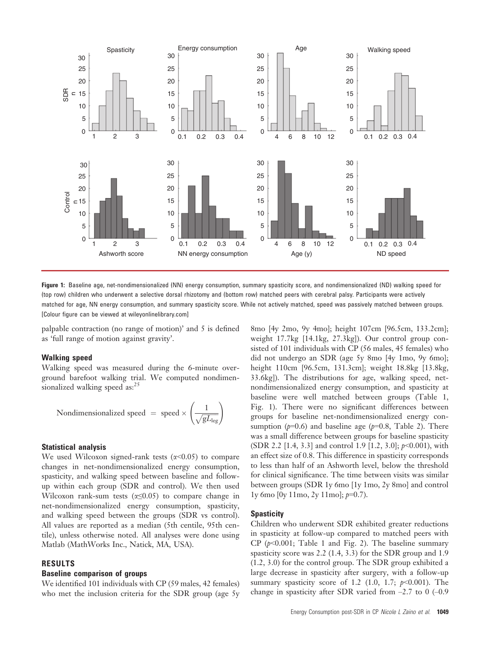

Figure 1: Baseline age, net-nondimensionalized (NN) energy consumption, summary spasticity score, and nondimensionalized (ND) walking speed for (top row) children who underwent a selective dorsal rhizotomy and (bottom row) matched peers with cerebral palsy. Participants were actively matched for age, NN energy consumption, and summary spasticity score. While not actively matched, speed was passively matched between groups. [Colour figure can be viewed at wileyonlinelibrary.com]

palpable contraction (no range of motion)' and 5 is defined as 'full range of motion against gravity'.

# Walking speed

Walking speed was measured during the 6-minute overground barefoot walking trial. We computed nondimensionalized walking speed as:<sup>25</sup>

$$
Nondimensionalized speed = speed \times \left(\frac{1}{\sqrt{gL_{leg}}}\right)
$$

# Statistical analysis

We used Wilcoxon signed-rank tests  $(\alpha < 0.05)$  to compare changes in net-nondimensionalized energy consumption, spasticity, and walking speed between baseline and followup within each group (SDR and control). We then used Wilcoxon rank-sum tests ( $\alpha \leq 0.05$ ) to compare change in net-nondimensionalized energy consumption, spasticity, and walking speed between the groups (SDR vs control). All values are reported as a median (5th centile, 95th centile), unless otherwise noted. All analyses were done using Matlab (MathWorks Inc., Natick, MA, USA).

# RESULTS

# Baseline comparison of groups

We identified 101 individuals with CP (59 males, 42 females) who met the inclusion criteria for the SDR group (age 5y

8mo [4y 2mo, 9y 4mo]; height 107cm [96.5cm, 133.2cm]; weight 17.7kg [14.1kg, 27.3kg]). Our control group consisted of 101 individuals with CP (56 males, 45 females) who did not undergo an SDR (age 5y 8mo [4y 1mo, 9y 6mo]; height 110cm [96.5cm, 131.3cm]; weight 18.8kg [13.8kg, 33.6kg]). The distributions for age, walking speed, netnondimensionalized energy consumption, and spasticity at baseline were well matched between groups (Table 1, Fig. 1). There were no significant differences between groups for baseline net-nondimensionalized energy consumption ( $p=0.6$ ) and baseline age ( $p=0.8$ , Table 2). There was a small difference between groups for baseline spasticity (SDR 2.2 [1.4, 3.3] and control 1.9 [1.2, 3.0];  $p<0.001$ ), with an effect size of 0.8. This difference in spasticity corresponds to less than half of an Ashworth level, below the threshold for clinical significance. The time between visits was similar between groups (SDR 1y 6mo [1y 1mo, 2y 8mo] and control  $1y$  6mo  $[0y 11$ mo,  $2y 11$ mo];  $p=0.7$ ).

#### **Spasticity**

Children who underwent SDR exhibited greater reductions in spasticity at follow-up compared to matched peers with CP  $(p<0.001$ ; Table 1 and Fig. 2). The baseline summary spasticity score was 2.2 (1.4, 3.3) for the SDR group and 1.9 (1.2, 3.0) for the control group. The SDR group exhibited a large decrease in spasticity after surgery, with a follow-up summary spasticity score of 1.2 (1.0, 1.7;  $p<0.001$ ). The change in spasticity after SDR varied from  $-2.7$  to 0 (-0.9)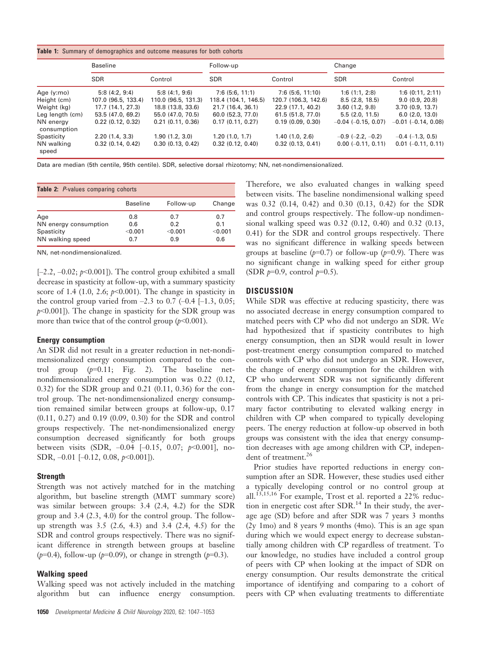|  |  |  | Table 1: Summary of demographics and outcome measures for both cohorts |  |  |  |  |  |  |
|--|--|--|------------------------------------------------------------------------|--|--|--|--|--|--|
|--|--|--|------------------------------------------------------------------------|--|--|--|--|--|--|

|                          | <b>Baseline</b>       |                     | Follow-up            |                      | Change                     |                         |  |
|--------------------------|-----------------------|---------------------|----------------------|----------------------|----------------------------|-------------------------|--|
|                          | <b>SDR</b>            | Control             | <b>SDR</b>           | Control              | <b>SDR</b>                 | Control                 |  |
| Age (y:mo)               | 5:8(4:2, 9:4)         | 5:8(4:1, 9:6)       | 7:6(5:6, 11:1)       | 7:6(5:6, 11:10)      | 1:6(1:1, 2:8)              | 1:6(0:11, 2:11)         |  |
| Height (cm)              | 107.0 (96.5, 133.4)   | 110.0 (96.5, 131.3) | 118.4 (104.1, 146.5) | 120.7 (106.3, 142.6) | 8.5(2.8, 18.5)             | 9.0(0.9, 20.8)          |  |
| Weight (kg)              | 17.7(14.1, 27.3)      | 18.8 (13.8, 33.6)   | 21.7 (16.4, 36.1)    | 22.9(17.1, 40.2)     | 3.60(1.2, 9.8)             | 3.70(0.9, 13.7)         |  |
| Leg length (cm)          | 53.5 (47.0, 69.2)     | 55.0 (47.0, 70.5)   | 60.0(52.3, 77.0)     | 61.5 (51.8, 77.0)    | 5.5(2.0.11.5)              | 6.0(2.0, 13.0)          |  |
| NN energy<br>consumption | 0.22(0.12, 0.32)      | 0.21(0.11, 0.36)    | 0.17(0.11, 0.27)     | 0.19(0.09, 0.30)     | $-0.04$ ( $-0.15$ , 0.07)  | $-0.01$ $(-0.14, 0.08)$ |  |
| Spasticity               | 2.20(1.4, 3.3)        | 1.90(1.2, 3.0)      | 1.20(1.0, 1.7)       | 1.40(1.0, 2.6)       | $-0.9$ ( $-2.2$ , $-0.2$ ) | $-0.4$ ( $-1.3$ , 0.5)  |  |
| NN walking<br>speed      | $0.32$ $(0.14, 0.42)$ | 0.30(0.13, 0.42)    | 0.32(0.12, 0.40)     | $0.32$ (0.13, 0.41)  | $0.00 (-0.11, 0.11)$       | $0.01$ (-0.11, 0.11)    |  |

Data are median (5th centile, 95th centile). SDR, selective dorsal rhizotomy; NN, net-nondimensionalized.

| <b>Table 2:</b> P-values comparing cohorts                     |                              |                              |                              |  |  |  |  |
|----------------------------------------------------------------|------------------------------|------------------------------|------------------------------|--|--|--|--|
|                                                                | <b>Baseline</b>              | Follow-up                    | Change                       |  |  |  |  |
| Age<br>NN energy consumption<br>Spasticity<br>NN walking speed | 0.8<br>0.6<br>< 0.001<br>0.7 | 0.7<br>0.2<br>< 0.001<br>0.9 | 0.7<br>0.1<br>< 0.001<br>0.6 |  |  |  |  |

NN, net-nondimensionalized.

 $[-2.2, -0.02; p<0.001]$ . The control group exhibited a small decrease in spasticity at follow-up, with a summary spasticity score of 1.4 (1.0, 2.6;  $p<0.001$ ). The change in spasticity in the control group varied from  $-2.3$  to 0.7  $(-0.4$   $[-1.3, 0.05;$  $p$ <0.001]). The change in spasticity for the SDR group was more than twice that of the control group  $(p<0.001)$ .

## Energy consumption

An SDR did not result in a greater reduction in net-nondimensionalized energy consumption compared to the control group  $(p=0.11;$  Fig. 2). The baseline netnondimensionalized energy consumption was 0.22 (0.12, 0.32) for the SDR group and 0.21 (0.11, 0.36) for the control group. The net-nondimensionalized energy consumption remained similar between groups at follow-up, 0.17 (0.11, 0.27) and 0.19 (0.09, 0.30) for the SDR and control groups respectively. The net-nondimensionalized energy consumption decreased significantly for both groups between visits (SDR,  $-0.04$   $[-0.15, 0.07; p<0.001]$ , no-SDR,  $-0.01$   $[-0.12, 0.08, p<0.001]$ ).

# **Strength**

Strength was not actively matched for in the matching algorithm, but baseline strength (MMT summary score) was similar between groups: 3.4 (2.4, 4.2) for the SDR group and 3.4 (2.3, 4.0) for the control group. The followup strength was 3.5 (2.6, 4.3) and 3.4 (2.4, 4.5) for the SDR and control groups respectively. There was no significant difference in strength between groups at baseline ( $p=0.4$ ), follow-up ( $p=0.09$ ), or change in strength ( $p=0.3$ ).

# Walking speed

Walking speed was not actively included in the matching algorithm but can influence energy consumption.

1050 Developmental Medicine & Child Neurology 2020, 62: 1047–1053

Therefore, we also evaluated changes in walking speed between visits. The baseline nondimensional walking speed was 0.32 (0.14, 0.42) and 0.30 (0.13, 0.42) for the SDR and control groups respectively. The follow-up nondimensional walking speed was 0.32 (0.12, 0.40) and 0.32 (0.13, 0.41) for the SDR and control groups respectively. There was no significant difference in walking speeds between groups at baseline ( $p=0.7$ ) or follow-up ( $p=0.9$ ). There was no significant change in walking speed for either group (SDR  $p=0.9$ , control  $p=0.5$ ).

# **DISCUSSION**

While SDR was effective at reducing spasticity, there was no associated decrease in energy consumption compared to matched peers with CP who did not undergo an SDR. We had hypothesized that if spasticity contributes to high energy consumption, then an SDR would result in lower post-treatment energy consumption compared to matched controls with CP who did not undergo an SDR. However, the change of energy consumption for the children with CP who underwent SDR was not significantly different from the change in energy consumption for the matched controls with CP. This indicates that spasticity is not a primary factor contributing to elevated walking energy in children with CP when compared to typically developing peers. The energy reduction at follow-up observed in both groups was consistent with the idea that energy consumption decreases with age among children with CP, independent of treatment.<sup>26</sup>

Prior studies have reported reductions in energy consumption after an SDR. However, these studies used either a typically developing control or no control group at all.<sup>13,15,16</sup> For example, Trost et al. reported a 22% reduction in energetic cost after SDR.<sup>14</sup> In their study, the average age (SD) before and after SDR was 7 years 3 months  $(2y \text{ 1mo})$  and 8 years 9 months (4mo). This is an age span during which we would expect energy to decrease substantially among children with CP regardless of treatment. To our knowledge, no studies have included a control group of peers with CP when looking at the impact of SDR on energy consumption. Our results demonstrate the critical importance of identifying and comparing to a cohort of peers with CP when evaluating treatments to differentiate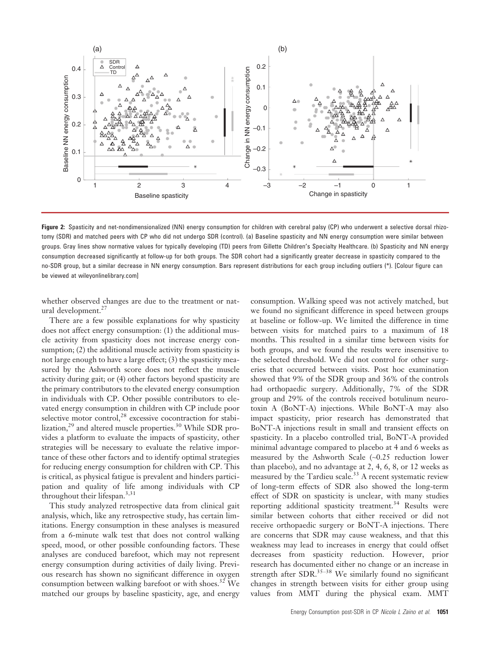

Figure 2: Spasticity and net-nondimensionalized (NN) energy consumption for children with cerebral palsy (CP) who underwent a selective dorsal rhizotomy (SDR) and matched peers with CP who did not undergo SDR (control). (a) Baseline spasticity and NN energy consumption were similar between groups. Gray lines show normative values for typically developing (TD) peers from Gillette Children's Specialty Healthcare. (b) Spasticity and NN energy consumption decreased significantly at follow-up for both groups. The SDR cohort had a significantly greater decrease in spasticity compared to the no-SDR group, but a similar decrease in NN energy consumption. Bars represent distributions for each group including outliers (\*). [Colour figure can be viewed at wileyonlinelibrary.com]

whether observed changes are due to the treatment or natural development.<sup>27</sup>

There are a few possible explanations for why spasticity does not affect energy consumption: (1) the additional muscle activity from spasticity does not increase energy consumption; (2) the additional muscle activity from spasticity is not large enough to have a large effect; (3) the spasticity measured by the Ashworth score does not reflect the muscle activity during gait; or (4) other factors beyond spasticity are the primary contributors to the elevated energy consumption in individuals with CP. Other possible contributors to elevated energy consumption in children with CP include poor selective motor control,<sup>28</sup> excessive cocontraction for stabilization, $^{29}$  and altered muscle properties.<sup>30</sup> While SDR provides a platform to evaluate the impacts of spasticity, other strategies will be necessary to evaluate the relative importance of these other factors and to identify optimal strategies for reducing energy consumption for children with CP. This is critical, as physical fatigue is prevalent and hinders participation and quality of life among individuals with CP throughout their lifespan.<sup>3,31</sup>

This study analyzed retrospective data from clinical gait analysis, which, like any retrospective study, has certain limitations. Energy consumption in these analyses is measured from a 6-minute walk test that does not control walking speed, mood, or other possible confounding factors. These analyses are conduced barefoot, which may not represent energy consumption during activities of daily living. Previous research has shown no significant difference in oxygen consumption between walking barefoot or with shoes.<sup>32</sup> We matched our groups by baseline spasticity, age, and energy

consumption. Walking speed was not actively matched, but we found no significant difference in speed between groups at baseline or follow-up. We limited the difference in time between visits for matched pairs to a maximum of 18 months. This resulted in a similar time between visits for both groups, and we found the results were insensitive to the selected threshold. We did not control for other surgeries that occurred between visits. Post hoc examination showed that 9% of the SDR group and 36% of the controls had orthopaedic surgery. Additionally, 7% of the SDR group and 29% of the controls received botulinum neurotoxin A (BoNT-A) injections. While BoNT-A may also impact spasticity, prior research has demonstrated that BoNT-A injections result in small and transient effects on spasticity. In a placebo controlled trial, BoNT-A provided minimal advantage compared to placebo at 4 and 6 weeks as measured by the Ashworth Scale (~0.25 reduction lower than placebo), and no advantage at 2, 4, 6, 8, or 12 weeks as measured by the Tardieu scale.<sup>33</sup> A recent systematic review of long-term effects of SDR also showed the long-term effect of SDR on spasticity is unclear, with many studies reporting additional spasticity treatment.<sup>34</sup> Results were similar between cohorts that either received or did not receive orthopaedic surgery or BoNT-A injections. There are concerns that SDR may cause weakness, and that this weakness may lead to increases in energy that could offset decreases from spasticity reduction. However, prior research has documented either no change or an increase in strength after  $SDR$ <sup>35-38</sup> We similarly found no significant changes in strength between visits for either group using values from MMT during the physical exam. MMT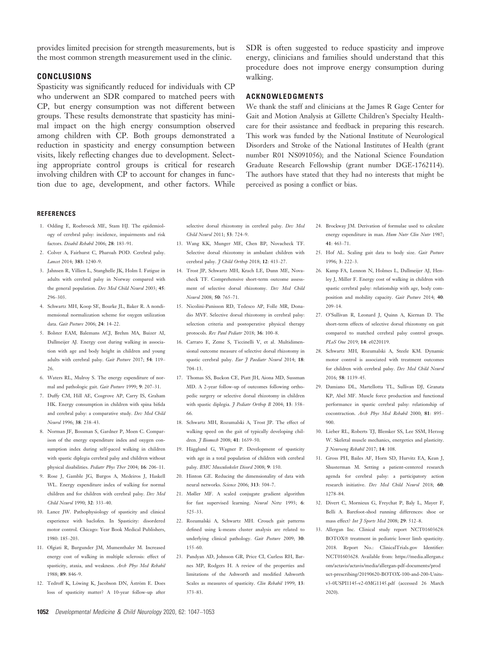provides limited precision for strength measurements, but is the most common strength measurement used in the clinic.

# **CONCLUSIONS**

Spasticity was significantly reduced for individuals with CP who underwent an SDR compared to matched peers with CP, but energy consumption was not different between groups. These results demonstrate that spasticity has minimal impact on the high energy consumption observed among children with CP. Both groups demonstrated a reduction in spasticity and energy consumption between visits, likely reflecting changes due to development. Selecting appropriate control groups is critical for research involving children with CP to account for changes in function due to age, development, and other factors. While SDR is often suggested to reduce spasticity and improve energy, clinicians and families should understand that this procedure does not improve energy consumption during walking.

# ACKNOWLEDGMENTS

We thank the staff and clinicians at the James R Gage Center for Gait and Motion Analysis at Gillette Children's Specialty Healthcare for their assistance and feedback in preparing this research. This work was funded by the National Institute of Neurological Disorders and Stroke of the National Institutes of Health (grant number R01 NS091056); and the National Science Foundation Graduate Research Fellowship (grant number DGE-1762114). The authors have stated that they had no interests that might be perceived as posing a conflict or bias.

#### **REFERENCES**

- 1. Odding E, Roebroeck ME, Stam HJ. The epidemiology of cerebral palsy: incidence, impairments and risk factors. Disabil Rehabil 2006; 28: 183–91.
- 2. Colver A, Fairhurst C, Pharoah POD. Cerebral palsy. Lancet 2014; 383: 1240–9.
- 3. Jahnsen R, Villien L, Stanghelle JK, Holm I. Fatigue in adults with cerebral palsy in Norway compared with the general population. Dev Med Child Neurol 2003; 45: 296–303.
- 4. Schwartz MH, Koop SE, Bourke JL, Baker R. A nondimensional normalization scheme for oxygen utilization data. Gait Posture 2006; 24: 14–22.
- 5. Bolster EAM, Balemans ACJ, Brehm MA, Buizer AI, Dallmeijer AJ. Energy cost during walking in association with age and body height in children and young adults with cerebral palsy. Gait Posture 2017; 54: 119– 26.
- 6. Waters RL, Mulroy S. The energy expenditure of normal and pathologic gait. Gait Posture 1999; 9: 207–31.
- 7. Duffy CM, Hill AE, Cosgrove AP, Carry IS, Graham HK. Energy consumption in children with spina bifida and cerebral palsy: a comparative study. Dev Med Child Neurol 1996; 38: 238–43.
- 8. Norman JF, Bossman S, Gardner P, Moen C. Comparison of the energy expenditure index and oxygen consumption index during self-paced walking in children with spastic diplegia cerebral palsy and children without physical disabilities. Pediatr Phys Ther 2004; 16: 206–11.
- 9. Rose J, Gamble JG, Burgos A, Medeiros J, Haskell WL. Energy expenditure index of walking for normal children and for children with cerebral palsy. Dev Med Child Neurol 1990; 32: 333–40.
- 10. Lance JW. Pathophysiology of spasticity and clinical experience with baclofen. In Spasticity: disordered motor control. Chicago: Year Book Medical Publishers, 1980: 185–203.
- 11. Olgiati R, Burgunder JM, Mumenthaler M. Increased energy cost of walking in multiple sclerosis: effect of spasticity, ataxia, and weakness. Arch Phys Med Rehabil 1988; 89: 846–9.
- 12. Tedroff K, Löwing K, Jacobson DN, Åström E. Does loss of spasticity matter? A 10-year follow-up after

selective dorsal rhizotomy in cerebral palsy. Dev Med Child Neurol 2011; 53: 724–9.

- 13. Wang KK, Munger ME, Chen BP, Novacheck TF. Selective dorsal rhizotomy in ambulant children with cerebral palsy. J Child Orthop 2018; 12: 413-27.
- 14. Trost JP, Schwartz MH, Krach LE, Dunn ME, Novacheck TF. Comprehensive short-term outcome assessment of selective dorsal rhizotomy. Dev Med Child Neurol 2008; 50: 765–71.
- 15. Nicolini-Panisson RD, Tedesco AP, Folle MR, Donadio MVF. Selective dorsal rhizotomy in cerebral palsy: selection criteria and postoperative physical therapy protocols. Rev Paul Pediatr 2018; 36: 100–8.
- 16. Carraro E, Zeme S, Ticcinelli V, et al. Multidimensional outcome measure of selective dorsal rhizotomy in spastic cerebral palsy. Eur 7 Paediatr Neurol 2014; 18: 704–13.
- 17. Thomas SS, Buckon CE, Piatt JH, Aiona MD, Sussman MD. A 2-year follow-up of outcomes following orthopedic surgery or selective dorsal rhizotomy in children with spastic diplegia. *J Pediatr Orthop B* 2004; 13: 358-66.
- 18. Schwartz MH, Rozumalski A, Trost JP. The effect of walking speed on the gait of typically developing children. *J Biomech* 2008; 41: 1639-50.
- 19. Hägglund G, Wagner P. Development of spasticity with age in a total population of children with cerebral palsy. BMC Musculoskelet Disord 2008; 9: 150.
- 20. Hinton GE. Reducing the dimensionality of data with neural networks. Science 2006; 313: 504–7.
- 21. Møller MF. A scaled conjugate gradient algorithm for fast supervised learning. Neural Netw 1993; 6: 525–33.
- 22. Rozumalski A, Schwartz MH. Crouch gait patterns defined using k-means cluster analysis are related to underlying clinical pathology. Gait Posture 2009; 30: 155–60.
- 23. Pandyan AD, Johnson GR, Price CI, Curless RH, Barnes MP, Rodgers H. A review of the properties and limitations of the Ashworth and modified Ashworth Scales as measures of spasticity. Clin Rehabil 1999; 13: 373–83.
- 24. Brockway JM. Derivation of formulae used to calculate energy expenditure in man. Hum Nutr Clin Nutr 1987; 41: 463–71.
- 25. Hof AL. Scaling gait data to body size. Gait Posture 1996; 3: 222–3.
- 26. Kamp FA, Lennon N, Holmes L, Dallmeijer AJ, Henley J, Miller F. Energy cost of walking in children with spastic cerebral palsy: relationship with age, body composition and mobility capacity. Gait Posture 2014; 40: 209–14.
- 27. O'Sullivan R, Leonard J, Quinn A, Kiernan D. The short-term effects of selective dorsal rhizotomy on gait compared to matched cerebral palsy control groups. PLoS One 2019; 14: e0220119.
- 28. Schwartz MH, Rozumalski A, Steele KM. Dynamic motor control is associated with treatment outcomes for children with cerebral palsy. Dev Med Child Neurol 2016; 58: 1139–45.
- 29. Damiano DL, Martellotta TL, Sullivan DJ, Granata KP, Abel MF. Muscle force production and functional performance in spastic cerebral palsy: relationship of cocontraction. Arch Phys Med Rehabil 2000; 81: 895– 900.
- 30. Lieber RL, Roberts TJ, Blemker SS, Lee SSM, Herzog W. Skeletal muscle mechanics, energetics and plasticity. J Neuroeng Rehabil 2017; 14: 108.
- 31. Gross PH, Bailes AF, Horn SD, Hurvitz EA, Kean J, Shusterman M. Setting a patient-centered research agenda for cerebral palsy: a participatory action research initiative. Dev Med Child Neurol 2018; 60: 1278–84.
- 32. Divert C, Mornieux G, Freychat P, Baly L, Mayer F, Belli A. Barefoot-shod running differences: shoe or mass effect? Int J Sports Med 2008; 29: 512-8.
- 33. Allergan Inc. Clinical study report NCT01603628: BOTOX<sup>®</sup> treatment in pediatric lower limb spasticity. 2018. Report No.: ClinicalTrials.gov Identifier: NCT01603628. Available from: [https://media.allergan.c](https://media.allergan.com/actavis/actavis/media/allergan-pdf-documents/product-prescribing/20190620-BOTOX-100-and-200-Units-v3-0USPI1145-v2-0MG1145.pdf) [om/actavis/actavis/media/allergan-pdf-documents/prod](https://media.allergan.com/actavis/actavis/media/allergan-pdf-documents/product-prescribing/20190620-BOTOX-100-and-200-Units-v3-0USPI1145-v2-0MG1145.pdf) [uct-prescribing/20190620-BOTOX-100-and-200-Units](https://media.allergan.com/actavis/actavis/media/allergan-pdf-documents/product-prescribing/20190620-BOTOX-100-and-200-Units-v3-0USPI1145-v2-0MG1145.pdf)[v3-0USPI1145-v2-0MG1145.pdf](https://media.allergan.com/actavis/actavis/media/allergan-pdf-documents/product-prescribing/20190620-BOTOX-100-and-200-Units-v3-0USPI1145-v2-0MG1145.pdf) (accessed 26 March 2020).